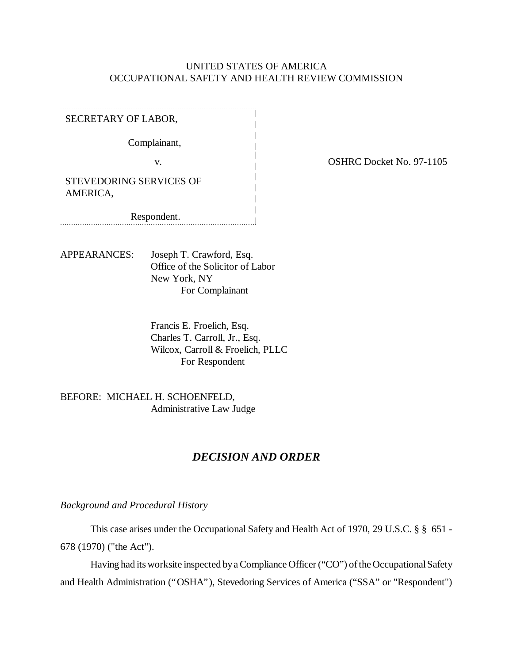### UNITED STATES OF AMERICA OCCUPATIONAL SAFETY AND HEALTH REVIEW COMMISSION

SECRETARY OF LABOR,

Complainant,

STEVEDORING SERVICES OF AMERICA,

Respondent. 

APPEARANCES: Joseph T. Crawford, Esq. Office of the Solicitor of Labor New York, NY For Complainant

> Francis E. Froelich, Esq. Charles T. Carroll, Jr., Esq. Wilcox, Carroll & Froelich, PLLC For Respondent

BEFORE: MICHAEL H. SCHOENFELD, Administrative Law Judge

# *DECISION AND ORDER*

*Background and Procedural History*

This case arises under the Occupational Safety and Health Act of 1970, 29 U.S.C. § § 651 - 678 (1970) ("the Act").

Having had its worksite inspected by a Compliance Officer ("CO") of the Occupational Safety and Health Administration ("OSHA"), Stevedoring Services of America ("SSA" or "Respondent")

v. COSHRC Docket No. 97-1105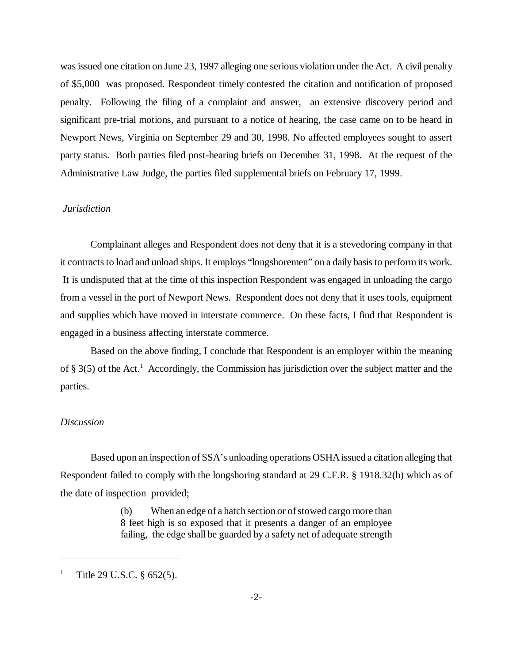was issued one citation on June 23, 1997 alleging one serious violation under the Act. A civil penalty of \$5,000 was proposed. Respondent timely contested the citation and notification of proposed penalty. Following the filing of a complaint and answer, an extensive discovery period and significant pre-trial motions, and pursuant to a notice of hearing, the case came on to be heard in Newport News, Virginia on September 29 and 30, 1998. No affected employees sought to assert party status. Both parties filed post-hearing briefs on December 31, 1998. At the request of the Administrative Law Judge, the parties filed supplemental briefs on February 17, 1999.

### *Jurisdiction*

Complainant alleges and Respondent does not deny that it is a stevedoring company in that it contracts to load and unload ships. It employs "longshoremen" on a daily basis to perform its work. It is undisputed that at the time of this inspection Respondent was engaged in unloading the cargo from a vessel in the port of Newport News. Respondent does not deny that it uses tools, equipment and supplies which have moved in interstate commerce. On these facts, I find that Respondent is engaged in a business affecting interstate commerce.

Based on the above finding, I conclude that Respondent is an employer within the meaning of § 3(5) of the Act.<sup>1</sup> Accordingly, the Commission has jurisdiction over the subject matter and the parties.

#### *Discussion*

Based upon an inspection of SSA's unloading operations OSHA issued a citation alleging that Respondent failed to comply with the longshoring standard at 29 C.F.R. § 1918.32(b) which as of the date of inspection provided;

> (b) When an edge of a hatch section or of stowed cargo more than 8 feet high is so exposed that it presents a danger of an employee failing, the edge shall be guarded by a safety net of adequate strength

<sup>1</sup> Title 29 U.S.C. § 652(5).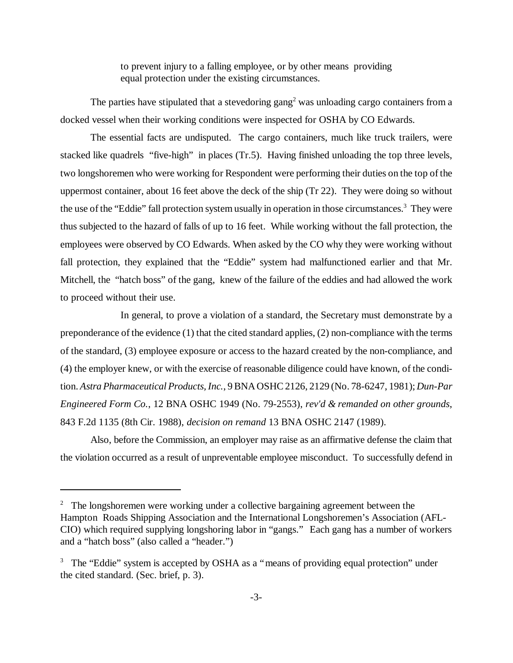to prevent injury to a falling employee, or by other means providing equal protection under the existing circumstances.

The parties have stipulated that a stevedoring gang<sup>2</sup> was unloading cargo containers from a docked vessel when their working conditions were inspected for OSHA by CO Edwards.

The essential facts are undisputed. The cargo containers, much like truck trailers, were stacked like quadrels "five-high" in places (Tr.5). Having finished unloading the top three levels, two longshoremen who were working for Respondent were performing their duties on the top of the uppermost container, about 16 feet above the deck of the ship (Tr 22). They were doing so without the use of the "Eddie" fall protection system usually in operation in those circumstances.<sup>3</sup> They were thus subjected to the hazard of falls of up to 16 feet. While working without the fall protection, the employees were observed by CO Edwards. When asked by the CO why they were working without fall protection, they explained that the "Eddie" system had malfunctioned earlier and that Mr. Mitchell, the "hatch boss" of the gang, knew of the failure of the eddies and had allowed the work to proceed without their use.

In general, to prove a violation of a standard, the Secretary must demonstrate by a preponderance of the evidence (1) that the cited standard applies, (2) non-compliance with the terms of the standard, (3) employee exposure or access to the hazard created by the non-compliance, and (4) the employer knew, or with the exercise of reasonable diligence could have known, of the condition. *Astra Pharmaceutical Products, Inc.*, 9 BNA OSHC 2126, 2129 (No. 78-6247, 1981); *Dun-Par Engineered Form Co.*, 12 BNA OSHC 1949 (No. 79-2553), *rev'd & remanded on other grounds*, 843 F.2d 1135 (8th Cir. 1988), *decision on remand* 13 BNA OSHC 2147 (1989).

Also, before the Commission, an employer may raise as an affirmative defense the claim that the violation occurred as a result of unpreventable employee misconduct. To successfully defend in

 $2$  The longshoremen were working under a collective bargaining agreement between the Hampton Roads Shipping Association and the International Longshoremen's Association (AFL-CIO) which required supplying longshoring labor in "gangs." Each gang has a number of workers and a "hatch boss" (also called a "header.")

<sup>&</sup>lt;sup>3</sup> The "Eddie" system is accepted by OSHA as a "means of providing equal protection" under the cited standard. (Sec. brief, p. 3).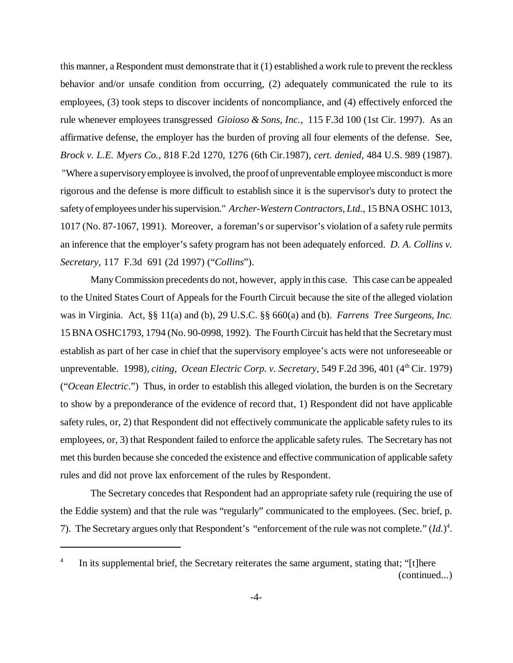this manner, a Respondent must demonstrate that it (1) established a work rule to prevent the reckless behavior and/or unsafe condition from occurring, (2) adequately communicated the rule to its employees, (3) took steps to discover incidents of noncompliance, and (4) effectively enforced the rule whenever employees transgressed *Gioioso & Sons, Inc.*, 115 F.3d 100 (1st Cir. 1997). As an affirmative defense, the employer has the burden of proving all four elements of the defense. See, *Brock v. L.E. Myers Co.*, 818 F.2d 1270, 1276 (6th Cir.1987), *cert. denied,* 484 U.S. 989 (1987). "Where a supervisory employee is involved, the proof of unpreventable employee misconduct is more rigorous and the defense is more difficult to establish since it is the supervisor's duty to protect the safety of employees under his supervision." *Archer-Western Contractors, Ltd.*, 15 BNA OSHC 1013, 1017 (No. 87-1067, 1991). Moreover, a foreman's or supervisor's violation of a safety rule permits an inference that the employer's safety program has not been adequately enforced. *D. A. Collins v. Secretary,* 117 F.3d 691 (2d 1997) ("*Collins*").

Many Commission precedents do not, however, apply in this case. This case can be appealed to the United States Court of Appeals for the Fourth Circuit because the site of the alleged violation was in Virginia. Act, §§ 11(a) and (b), 29 U.S.C. §§ 660(a) and (b). *Farrens Tree Surgeons, Inc.* 15 BNA OSHC1793, 1794 (No. 90-0998, 1992). The Fourth Circuit has held that the Secretary must establish as part of her case in chief that the supervisory employee's acts were not unforeseeable or unpreventable. 1998), *citing, Ocean Electric Corp. v. Secretary*, 549 F.2d 396, 401 (4<sup>th</sup> Cir. 1979) ("*Ocean Electric*.") Thus, in order to establish this alleged violation, the burden is on the Secretary to show by a preponderance of the evidence of record that, 1) Respondent did not have applicable safety rules, or, 2) that Respondent did not effectively communicate the applicable safety rules to its employees, or, 3) that Respondent failed to enforce the applicable safety rules. The Secretary has not met this burden because she conceded the existence and effective communication of applicable safety rules and did not prove lax enforcement of the rules by Respondent.

The Secretary concedes that Respondent had an appropriate safety rule (requiring the use of the Eddie system) and that the rule was "regularly" communicated to the employees. (Sec. brief, p. 7). The Secretary argues only that Respondent's "enforcement of the rule was not complete." (*Id.*) 4 .

<sup>4</sup> In its supplemental brief, the Secretary reiterates the same argument, stating that; "[t]here (continued...)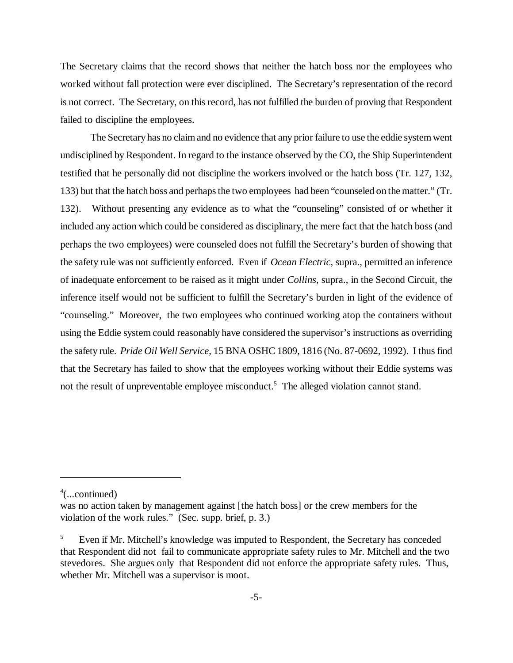The Secretary claims that the record shows that neither the hatch boss nor the employees who worked without fall protection were ever disciplined. The Secretary's representation of the record is not correct. The Secretary, on this record, has not fulfilled the burden of proving that Respondent failed to discipline the employees.

The Secretary has no claim and no evidence that any prior failure to use the eddie system went undisciplined by Respondent. In regard to the instance observed by the CO, the Ship Superintendent testified that he personally did not discipline the workers involved or the hatch boss (Tr. 127, 132, 133) but that the hatch boss and perhaps the two employees had been "counseled on the matter." (Tr. 132). Without presenting any evidence as to what the "counseling" consisted of or whether it included any action which could be considered as disciplinary, the mere fact that the hatch boss (and perhaps the two employees) were counseled does not fulfill the Secretary's burden of showing that the safety rule was not sufficiently enforced. Even if *Ocean Electric*, supra., permitted an inference of inadequate enforcement to be raised as it might under *Collins,* supra., in the Second Circuit, the inference itself would not be sufficient to fulfill the Secretary's burden in light of the evidence of "counseling." Moreover, the two employees who continued working atop the containers without using the Eddie system could reasonably have considered the supervisor's instructions as overriding the safety rule. *Pride Oil Well Service*, 15 BNA OSHC 1809, 1816 (No. 87-0692, 1992). I thus find that the Secretary has failed to show that the employees working without their Eddie systems was not the result of unpreventable employee misconduct.<sup>5</sup> The alleged violation cannot stand.

4 (...continued)

was no action taken by management against [the hatch boss] or the crew members for the violation of the work rules." (Sec. supp. brief, p. 3.)

<sup>5</sup> Even if Mr. Mitchell's knowledge was imputed to Respondent, the Secretary has conceded that Respondent did not fail to communicate appropriate safety rules to Mr. Mitchell and the two stevedores. She argues only that Respondent did not enforce the appropriate safety rules. Thus, whether Mr. Mitchell was a supervisor is moot.